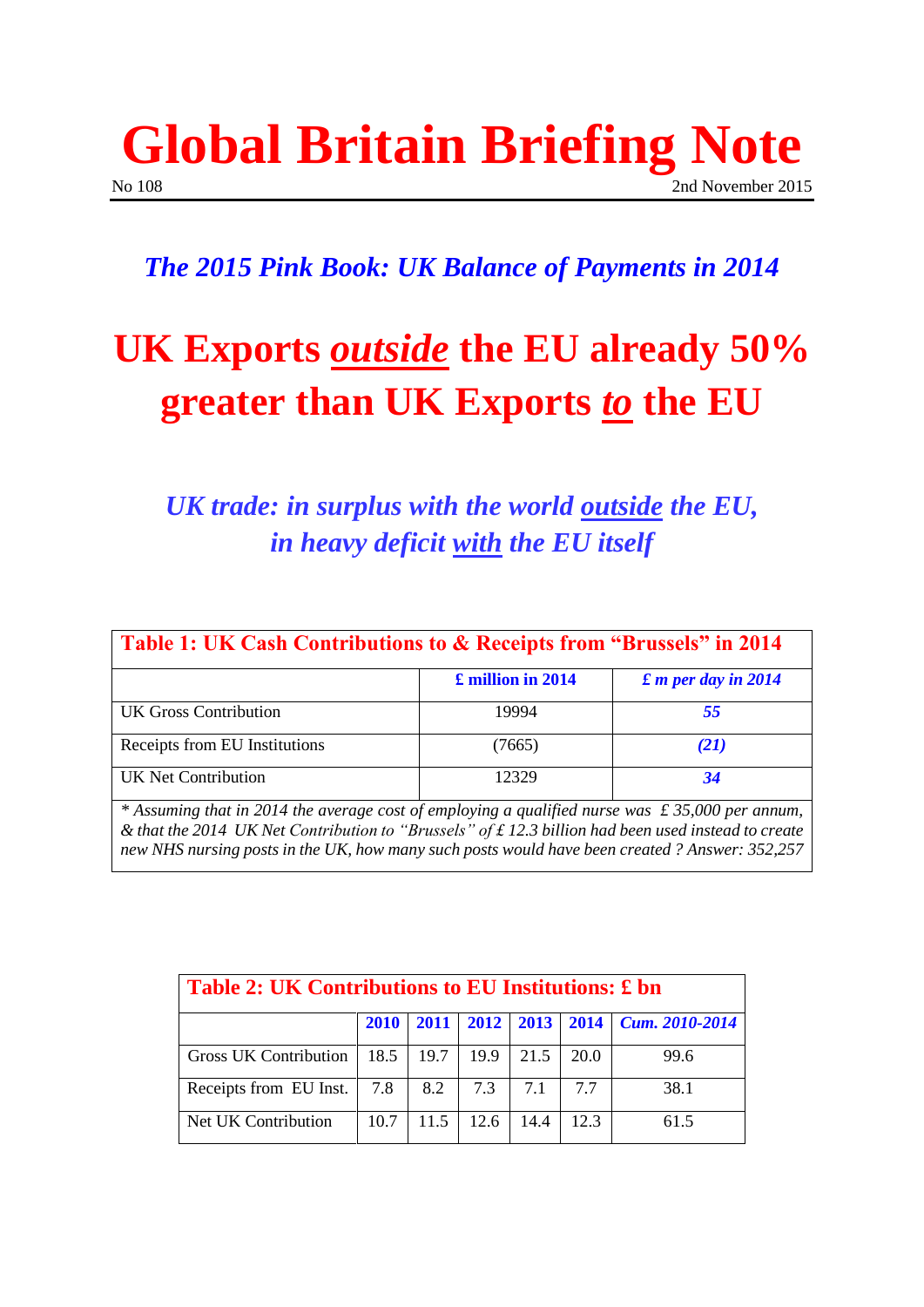### **Global Britain Briefing Note** No 108 2nd November 2015

### *The 2015 Pink Book: UK Balance of Payments in 2014*

## **UK Exports** *outside* **the EU already 50% greater than UK Exports** *to* **the EU**

### *UK trade: in surplus with the world outside the EU, in heavy deficit with the EU itself*

| Table 1: UK Cash Contributions to & Receipts from "Brussels" in 2014 |                             |  |  |  |  |
|----------------------------------------------------------------------|-----------------------------|--|--|--|--|
| £ million in 2014                                                    | $\pounds$ m per day in 2014 |  |  |  |  |
| 19994                                                                | 55                          |  |  |  |  |
| (7665)                                                               | (21)                        |  |  |  |  |
| 12329                                                                | 34                          |  |  |  |  |
|                                                                      |                             |  |  |  |  |

*& that the 2014 UK Net Contribution to "Brussels" of £ 12.3 billion had been used instead to create new NHS nursing posts in the UK, how many such posts would have been created ? Answer: 352,257*

| Table 2: UK Contributions to EU Institutions: £ bn |             |      |               |      |      |                                                           |  |  |
|----------------------------------------------------|-------------|------|---------------|------|------|-----------------------------------------------------------|--|--|
|                                                    | <b>2010</b> |      |               |      |      | $2011$   $2012$   $2013$   $2014$   <i>Cum.</i> 2010-2014 |  |  |
| Gross UK Contribution                              | 18.5        | 19.7 | 19.9          | 21.5 | 20.0 | 99.6                                                      |  |  |
| Receipts from EU Inst.                             | 7.8         | 8.2  | $7.3$   $7.1$ |      | 7.7  | 38.1                                                      |  |  |
| Net UK Contribution                                | 10.7        | 11.5 | 12.6          | 14.4 | 12.3 | 61.5                                                      |  |  |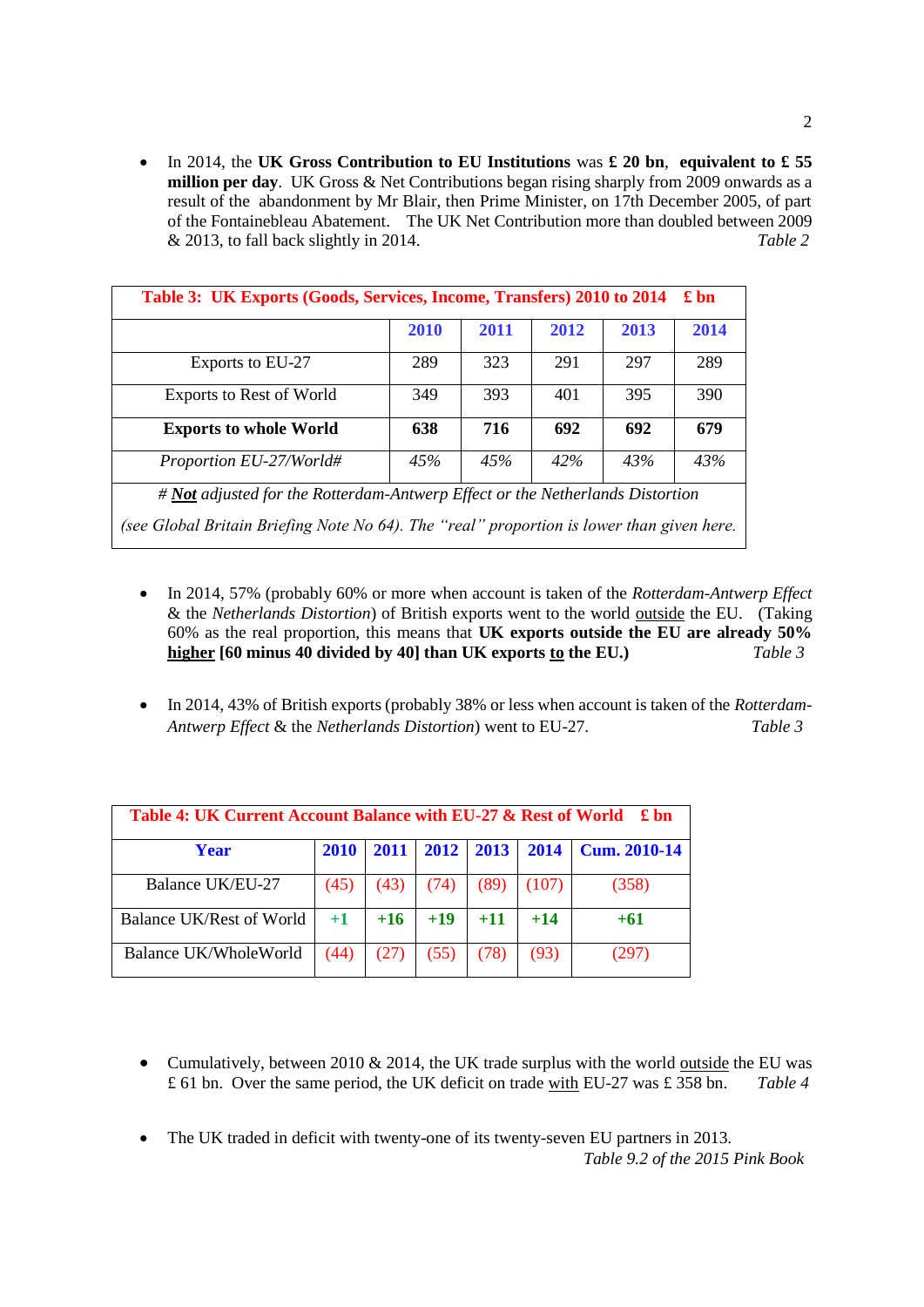In 2014, the **UK Gross Contribution to EU Institutions** was **£ 20 bn**, **equivalent to £ 55 million per day**. UK Gross & Net Contributions began rising sharply from 2009 onwards as a result of the abandonment by Mr Blair, then Prime Minister, on 17th December 2005, of part of the Fontainebleau Abatement. The UK Net Contribution more than doubled between 2009 & 2013, to fall back slightly in 2014. *Table 2*

| Table 3: UK Exports (Goods, Services, Income, Transfers) 2010 to 2014<br>$\pounds$ bn     |      |      |      |      |      |  |
|-------------------------------------------------------------------------------------------|------|------|------|------|------|--|
|                                                                                           | 2010 | 2011 | 2012 | 2013 | 2014 |  |
| Exports to EU-27                                                                          | 289  | 323  | 291  | 297  | 289  |  |
| <b>Exports to Rest of World</b>                                                           | 349  | 393  | 401  | 395  | 390  |  |
| <b>Exports to whole World</b>                                                             | 638  | 716  | 692  | 692  | 679  |  |
| Proportion EU-27/World#                                                                   | 45%  | 45%  | 42%  | 43%  | 43%  |  |
| # Not adjusted for the Rotterdam-Antwerp Effect or the Netherlands Distortion             |      |      |      |      |      |  |
| (see Global Britain Briefing Note No 64). The "real" proportion is lower than given here. |      |      |      |      |      |  |

- In 2014, 57% (probably 60% or more when account is taken of the *Rotterdam-Antwerp Effect* & the *Netherlands Distortion*) of British exports went to the world outside the EU. (Taking 60% as the real proportion, this means that **UK exports outside the EU are already 50% higher [60 minus 40 divided by 40] than UK exports to the EU.)** *Table 3*
- In 2014, 43% of British exports (probably 38% or less when account is taken of the *Rotterdam-Antwerp Effect* & the *Netherlands Distortion*) went to EU-27. *Table 3*

| Table 4: UK Current Account Balance with EU-27 & Rest of World £ bn |             |       |       |                |       |                             |  |
|---------------------------------------------------------------------|-------------|-------|-------|----------------|-------|-----------------------------|--|
| Year                                                                | <b>2010</b> | 2011  |       | 2012 2013 2014 |       | $\blacksquare$ Cum. 2010-14 |  |
| Balance UK/EU-27                                                    | (45)        | (43)  | (74)  | (89)           | (107) | (358)                       |  |
| <b>Balance UK/Rest of World</b>                                     | $+1$        | $+16$ | $+19$ | $+11$          | $+14$ | $+61$                       |  |
| Balance UK/WholeWorld                                               | (44)        |       | (55)  | (78)           | (93)  | (297)                       |  |

- Cumulatively, between 2010  $& 2014$ , the UK trade surplus with the world outside the EU was £ 61 bn. Over the same period, the UK deficit on trade with EU-27 was £ 358 bn. *Table 4*
- The UK traded in deficit with twenty-one of its twenty-seven EU partners in 2013.

*Table 9.2 of the 2015 Pink Book*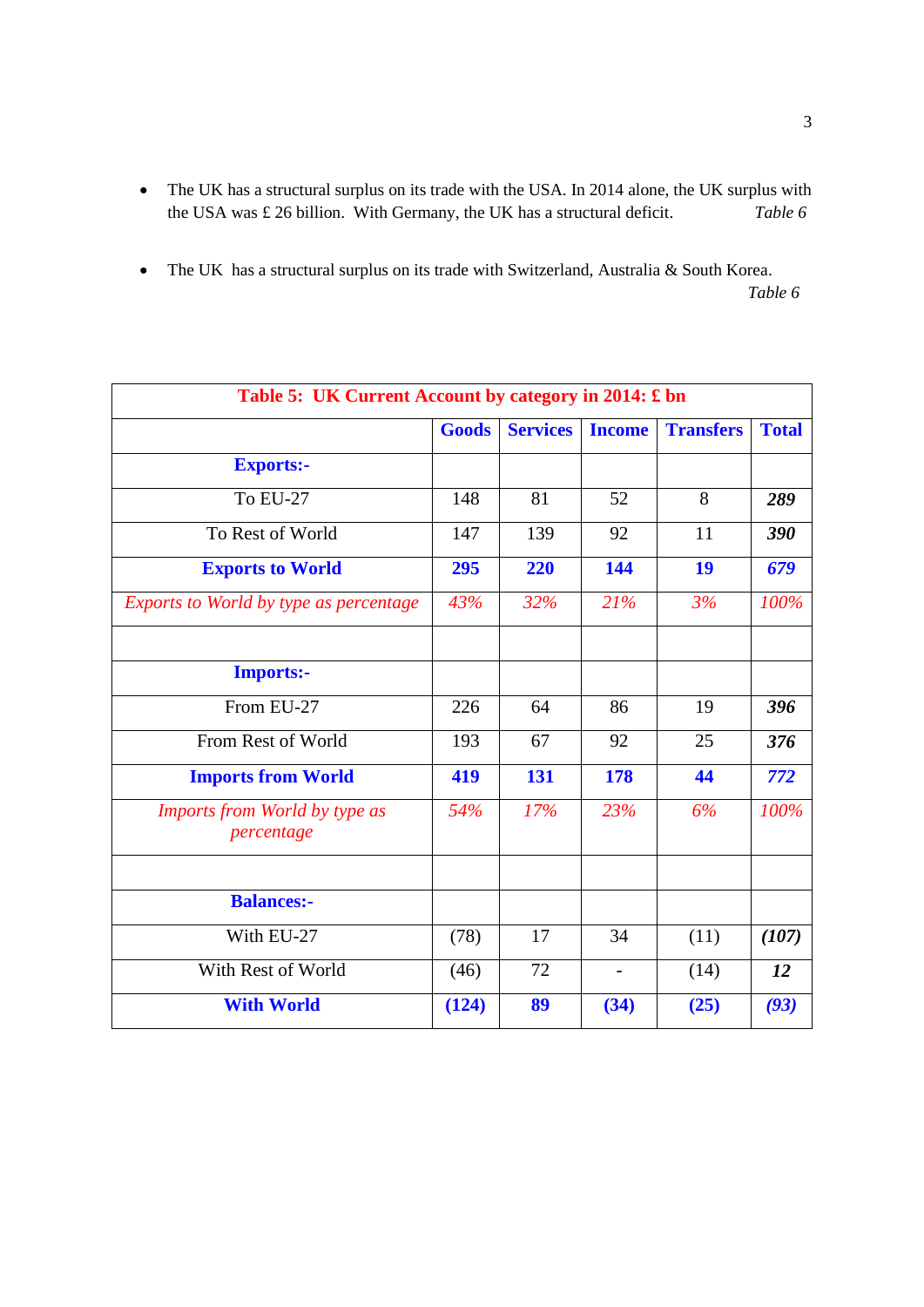- The UK has a structural surplus on its trade with the USA. In 2014 alone, the UK surplus with the USA was £ 26 billion. With Germany, the UK has a structural deficit. *Table 6*
- The UK has a structural surplus on its trade with Switzerland, Australia & South Korea.  *Table 6*

| Table 5: UK Current Account by category in 2014: £ bn |              |                 |                          |                  |              |
|-------------------------------------------------------|--------------|-----------------|--------------------------|------------------|--------------|
|                                                       | <b>Goods</b> | <b>Services</b> | <b>Income</b>            | <b>Transfers</b> | <b>Total</b> |
| <b>Exports:-</b>                                      |              |                 |                          |                  |              |
| <b>To EU-27</b>                                       | 148          | 81              | 52                       | 8                | 289          |
| To Rest of World                                      | 147          | 139             | 92                       | 11               | 390          |
| <b>Exports to World</b>                               | 295          | 220             | 144                      | 19               | 679          |
| <b>Exports to World by type as percentage</b>         | 43%          | 32%             | 21%                      | 3%               | 100%         |
|                                                       |              |                 |                          |                  |              |
| <b>Imports:-</b>                                      |              |                 |                          |                  |              |
| From EU-27                                            | 226          | 64              | 86                       | 19               | 396          |
| From Rest of World                                    | 193          | 67              | 92                       | 25               | 376          |
| <b>Imports from World</b>                             | 419          | 131             | 178                      | 44               | 772          |
| Imports from World by type as<br>percentage           | 54%          | 17%             | 23%                      | 6%               | 100%         |
|                                                       |              |                 |                          |                  |              |
| <b>Balances:-</b>                                     |              |                 |                          |                  |              |
| With EU-27                                            | (78)         | 17              | 34                       | (11)             | (107)        |
| With Rest of World                                    | (46)         | 72              | $\overline{\phantom{0}}$ | (14)             | 12           |
| <b>With World</b>                                     | (124)        | 89              | (34)                     | (25)             | (93)         |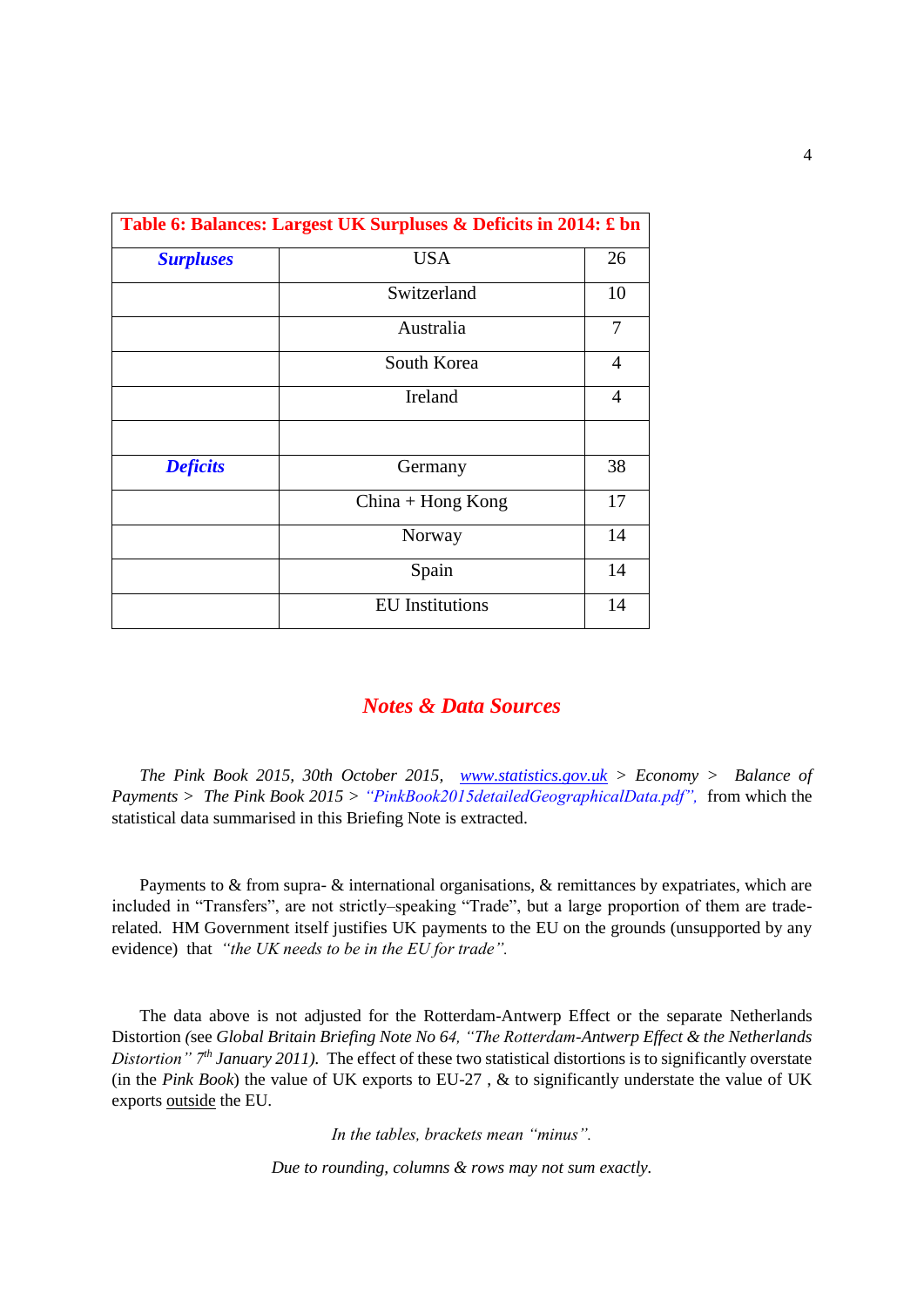| Table 6: Balances: Largest UK Surpluses & Deficits in 2014: £ bn |                |  |  |  |
|------------------------------------------------------------------|----------------|--|--|--|
| <b>USA</b>                                                       | 26             |  |  |  |
| Switzerland                                                      | 10             |  |  |  |
| Australia                                                        | 7              |  |  |  |
| South Korea                                                      | $\overline{4}$ |  |  |  |
| Ireland                                                          | $\overline{4}$ |  |  |  |
| Germany                                                          | 38             |  |  |  |
| $China + Hong Kong$                                              | 17             |  |  |  |
| Norway                                                           | 14             |  |  |  |
| Spain                                                            | 14             |  |  |  |
| <b>EU</b> Institutions                                           | 14             |  |  |  |
|                                                                  |                |  |  |  |

#### *Notes & Data Sources*

*The Pink Book 2015, 30th October 2015, [www.statistics.gov.uk](http://www.statistics.gov.uk/) > Economy > Balance of Payments > The Pink Book 2015 > "PinkBook2015detailedGeographicalData.pdf",* from which the statistical data summarised in this Briefing Note is extracted.

Payments to & from supra- & international organisations, & remittances by expatriates, which are included in "Transfers", are not strictly–speaking "Trade", but a large proportion of them are traderelated. HM Government itself justifies UK payments to the EU on the grounds (unsupported by any evidence) that *"the UK needs to be in the EU for trade".*

The data above is not adjusted for the Rotterdam-Antwerp Effect or the separate Netherlands Distortion *(*see *Global Britain Briefing Note No 64, "The Rotterdam-Antwerp Effect & the Netherlands Distortion" 7th January 2011).* The effect of these two statistical distortions is to significantly overstate (in the *Pink Book*) the value of UK exports to EU-27 , & to significantly understate the value of UK exports outside the EU.

*In the tables, brackets mean "minus".* 

*Due to rounding, columns & rows may not sum exactly.*